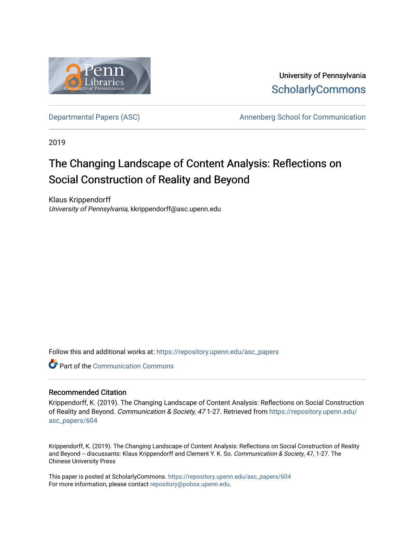

University of Pennsylvania **ScholarlyCommons** 

[Departmental Papers \(ASC\)](https://repository.upenn.edu/asc_papers) and a new Annenberg School for Communication

2019

# The Changing Landscape of Content Analysis: Reflections on Social Construction of Reality and Beyond

Klaus Krippendorff University of Pennsylvania, kkrippendorff@asc.upenn.edu

Follow this and additional works at: [https://repository.upenn.edu/asc\\_papers](https://repository.upenn.edu/asc_papers?utm_source=repository.upenn.edu%2Fasc_papers%2F604&utm_medium=PDF&utm_campaign=PDFCoverPages)

**C** Part of the Communication Commons

## Recommended Citation

Krippendorff, K. (2019). The Changing Landscape of Content Analysis: Reflections on Social Construction of Reality and Beyond. Communication & Society, 471-27. Retrieved from [https://repository.upenn.edu/](https://repository.upenn.edu/asc_papers/604?utm_source=repository.upenn.edu%2Fasc_papers%2F604&utm_medium=PDF&utm_campaign=PDFCoverPages) [asc\\_papers/604](https://repository.upenn.edu/asc_papers/604?utm_source=repository.upenn.edu%2Fasc_papers%2F604&utm_medium=PDF&utm_campaign=PDFCoverPages) 

Krippendorff, K. (2019). The Changing Landscape of Content Analysis: Reflections on Social Construction of Reality and Beyond -- discussants: Klaus Krippendorff and Clement Y. K. So. Communication & Society, 47, 1-27. The Chinese University Press

This paper is posted at ScholarlyCommons. [https://repository.upenn.edu/asc\\_papers/604](https://repository.upenn.edu/asc_papers/604)  For more information, please contact [repository@pobox.upenn.edu.](mailto:repository@pobox.upenn.edu)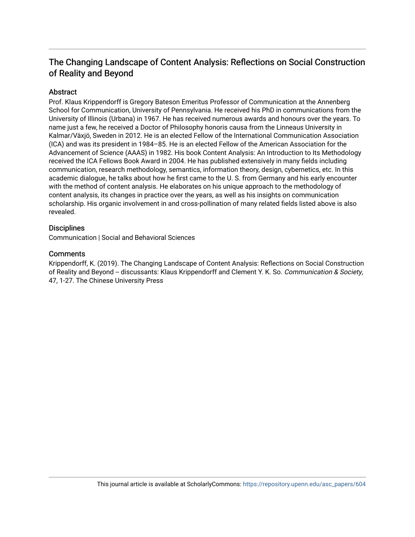# The Changing Landscape of Content Analysis: Reflections on Social Construction of Reality and Beyond

# Abstract

Prof. Klaus Krippendorff is Gregory Bateson Emeritus Professor of Communication at the Annenberg School for Communication, University of Pennsylvania. He received his PhD in communications from the University of Illinois (Urbana) in 1967. He has received numerous awards and honours over the years. To name just a few, he received a Doctor of Philosophy honoris causa from the Linneaus University in Kalmar/Växjö, Sweden in 2012. He is an elected Fellow of the International Communication Association (ICA) and was its president in 1984–85. He is an elected Fellow of the American Association for the Advancement of Science (AAAS) in 1982. His book Content Analysis: An Introduction to Its Methodology received the ICA Fellows Book Award in 2004. He has published extensively in many fields including communication, research methodology, semantics, information theory, design, cybernetics, etc. In this academic dialogue, he talks about how he first came to the U. S. from Germany and his early encounter with the method of content analysis. He elaborates on his unique approach to the methodology of content analysis, its changes in practice over the years, as well as his insights on communication scholarship. His organic involvement in and cross-pollination of many related fields listed above is also revealed.

# **Disciplines**

Communication | Social and Behavioral Sciences

# **Comments**

Krippendorff, K. (2019). The Changing Landscape of Content Analysis: Reflections on Social Construction of Reality and Beyond -- discussants: Klaus Krippendorff and Clement Y. K. So. Communication & Society, 47, 1-27. The Chinese University Press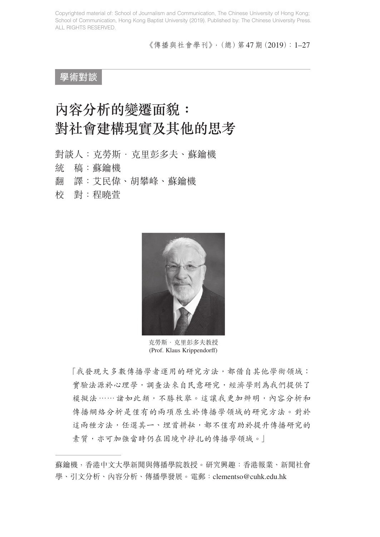《傳播與社會學刊》,(總)第47期(2019):1–27

**學術對談**

# 內容分析的變遷面貌: 對社會建構現實及其他的思考

對談人:克勞斯.克里彭多夫、蘇鑰機 統 稿:蘇鑰機 翻 譯:艾民偉、胡攀峰、蘇鑰機 校 對:程曉萱



克勞斯·克里彭多夫教授 (Prof. Klaus Krippendorff)

「我發現大多數傳播學者運用的研究方法,都借自其他學術領域: 實驗法源於心理學,調查法來自民意研究,經濟學則為我們提供了 模擬法⋯⋯諸如此類,不勝枚舉。這讓我更加辨明,內容分析和 傳播網絡分析是僅有的兩項原生於傳播學領域的研究方法。對於 這兩種方法,任選其一、埋首耕耘,都不僅有助於提升傳播研究的 素質,亦可加強當時仍在困境中掙扎的傳播學領域。

蘇鑰機,香港中文大學新聞與傳播學院教授。研究興趣:香港報業、新聞社會 學、引文分析、內容分析、傳播學發展。電郵:clementso@cuhk.edu.hk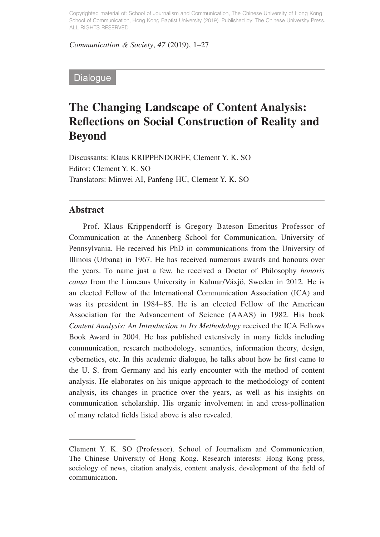*Communication & Society*, *47* (2019), 1–27

# **Dialogue**

# **The Changing Landscape of Content Analysis: Reflections on Social Construction of Reality and Beyond**

Discussants: Klaus KRIPPENDORFF, Clement Y. K. SO Editor: Clement Y. K. SO Translators: Minwei AI, Panfeng HU, Clement Y. K. SO

### **Abstract**

Prof. Klaus Krippendorff is Gregory Bateson Emeritus Professor of Communication at the Annenberg School for Communication, University of Pennsylvania. He received his PhD in communications from the University of Illinois (Urbana) in 1967. He has received numerous awards and honours over the years. To name just a few, he received a Doctor of Philosophy *honoris causa* from the Linneaus University in Kalmar/Växjö, Sweden in 2012. He is an elected Fellow of the International Communication Association (ICA) and was its president in 1984–85. He is an elected Fellow of the American Association for the Advancement of Science (AAAS) in 1982. His book *Content Analysis: An Introduction to Its Methodology* received the ICA Fellows Book Award in 2004. He has published extensively in many fields including communication, research methodology, semantics, information theory, design, cybernetics, etc. In this academic dialogue, he talks about how he first came to the U. S. from Germany and his early encounter with the method of content analysis. He elaborates on his unique approach to the methodology of content analysis, its changes in practice over the years, as well as his insights on communication scholarship. His organic involvement in and cross-pollination of many related fields listed above is also revealed.

Clement Y. K. SO (Professor). School of Journalism and Communication, The Chinese University of Hong Kong. Research interests: Hong Kong press, sociology of news, citation analysis, content analysis, development of the field of communication.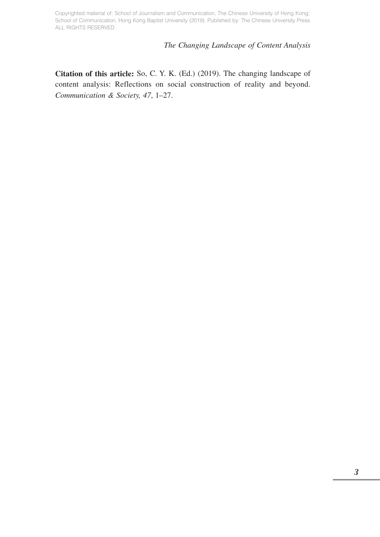### *The Changing Landscape of Content Analysis*

**Citation of this article:** So, C. Y. K. (Ed.) (2019). The changing landscape of content analysis: Reflections on social construction of reality and beyond. *Communication & Society, 47*, 1–27.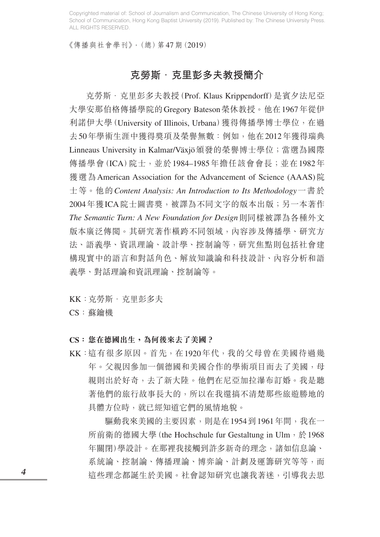《傳播與社會學刊》,(總)第47期(2019)

# 克勞斯·克里彭多夫教授簡介

克勞斯·克里彭多夫教授(Prof. Klaus Krippendorff)是賓夕法尼亞 大學安那伯格傳播學院的Gregory Bateson榮休教授。他在1967年從伊 利諾伊大學(University of Illinois, Urbana)獲得傳播學博士學位, 在過 去50年學術生涯中獲得獎項及榮譽無數:例如,他在2012年獲得瑞典 Linneaus University in Kalmar/Växjö頒發的榮譽博士學位;當選為國際 傳播學會(ICA)院士,並於1984–1985年擔任該會會長;並在1982年 獲選為 American Association for the Advancement of Science (AAAS)院 士等。他的*Content Analysis: An Introduction to Its Methodology*一書於 2004年獲ICA院士圖書獎,被譯為不同文字的版本出版;另一本著作 *The Semantic Turn: A New Foundation for Design*則同樣被譯為各種外文 版本廣泛傳閱。其研究著作橫跨不同領域,內容涉及傳播學、研究方 法、語義學、資訊理論、設計學、控制論等,研究焦點則包括社會建 構現實中的語言和對話角色、解放知識論和科技設計、內容分析和語 義學、對話理論和資訊理論、控制論等。

KK: 克勞斯· 克里彭多夫

CS:蘇鑰機

### **CS:您在德國出生,為何後來去了美國?**

KK:這有很多原因。首先,在1920年代,我的父母曾在美國待過幾 年。父親因參加一個德國和美國合作的學術項目而去了美國,母 親則出於好奇,去了新大陸。他們在尼亞加拉瀑布訂婚。我是聽 著他們的旅行故事長大的,所以在我還搞不清楚那些旅遊勝地的 具體方位時,就已經知道它們的風情地貌。

驅動我來美國的主要因素,則是在1954到1961年間,我在一 所前衛的德國大學 (the Hochschule fur Gestaltung in Ulm, 於1968 年關閉)學設計。在那裡我接觸到許多新奇的理念,諸如信息論、 系統論、控制論、傳播理論、博弈論、計劃及運籌研究等等,而 這些理念都誕生於美國。社會認知研究也讓我著迷,引導我去思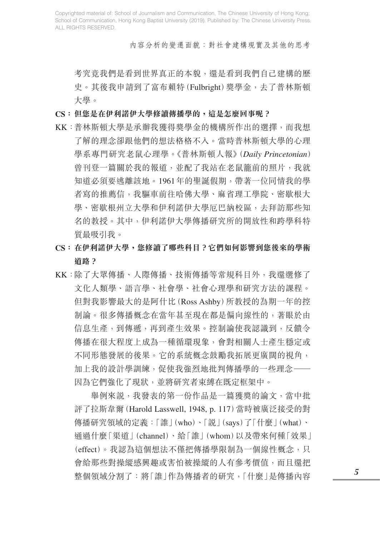內容分析的變遷面貌:對社會建構現實及其他的思考

考究竟我們是看到世界真正的本貌,還是看到我們自己建構的歷 史。其後我申請到了富布賴特(Fulbright)獎學金,去了普林斯頓 大學。

- **CS:但您是在伊利諾伊大學修讀傳播學的,這是怎麼回事呢?**
- KK:普林斯頓大學是承辦我獲得獎學金的機構所作出的選擇,而我想 了解的理念卻跟他們的想法格格不入。當時普林斯頓大學的心理 學系專門研究老鼠心理學。《普林斯頓人報》(*Daily Princetonian*) 曾刊登一篇關於我的報道,並配了我站在老鼠籠前的照片,我就 知道必須要逃離該地。1961年的聖誕假期,帶著一位同情我的學 者寫的推薦信,我驅車前往哈佛大學、麻省理工學院、密歇根大 學、密歇根州立大學和伊利諾伊大學厄巴納校區,去拜訪那些知 名的教授。其中,伊利諾伊大學傳播研究所的開放性和跨學科特 質最吸引我。
- **CS:在伊利諾伊大學,您修讀了哪些科目?它們如何影響到您後來的學術 道路?**
- KK:除了大眾傳播、人際傳播、技術傳播等常規科目外,我還選修了 文化人類學、語言學、社會學、社會心理學和研究方法的課程。 但對我影響最大的是阿什比(Ross Ashby)所教授的為期一年的控 制論。很多傳播概念在當年甚至現在都是偏向線性的,著眼於由 信息生產,到傳遞,再到產生效果。控制論使我認識到,反饋令 傳播在很大程度上成為一種循環現象,會對相關人士產生穩定或 不同形態發展的後果。它的系統概念鼓勵我拓展更廣闊的視角, 加上我的設計學訓練,促使我強烈地批判傳播學的一些理念—— 因為它們強化了現狀,並將研究者束縛在既定框架中。

 舉例來說,我發表的第一份作品是一篇獲獎的論文,當中批 評了拉斯韋爾(Harold Lasswell, 1948, p. 117)當時被廣泛接受的對 傳播研究領域的定義:「誰」(who)、「說」(says)了「什麼」(what)、 通過什麼「渠道」(channel)、給「誰」(whom)以及帶來何種「效果」 (effect)。我認為這個想法不僅把傳播學限制為一個線性概念,只 會給那些對操縱感興趣或害怕被操縱的人有參考價值,而且還把 整個領域分割了:將「誰」作為傳播者的研究,「什麼」是傳播內容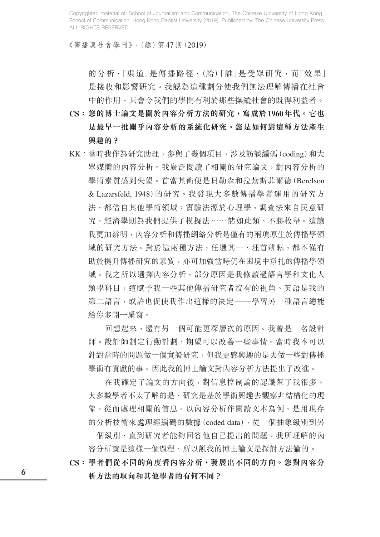《傳播與社會學刊》,(總)第47期(2019)

的分析,「渠道」是傳播路徑,(給)「誰」是受眾研究,而「效果」 是接收和影響研究。我認為這種劃分使我們無法理解傳播在社會 中的作用,只會令我們的學問有利於那些操縱社會的既得利益者。

- **CS:您的博士論文是關於內容分析方法的研究,寫成於1960年代。它也 是最早一批關乎內容分析的系統化研究。您是如何對這種方法產生 興趣的?**
- KK:當時我作為研究助理,參與了幾個項目,涉及訪談編碼(coding)和大 眾媒體的內容分析。我廣泛閱讀了相關的研究論文,對內容分析的 學術素質感到失望。首當其衝便是貝勒森和拉紮斯菲爾德(Berelson & Lazarsfeld, 1948)的研究。我發現大多數傳播學者運用的研究方 法,都借自其他學術領域:實驗法源於心理學,調查法來自民意研 究,經濟學則為我們提供了模擬法……諸如此類,不勝枚舉。這讓 我更加辨明,內容分析和傳播網絡分析是僅有的兩項原生於傳播學領 域的研究方法。對於這兩種方法,任選其一、埋首耕耘,都不僅有 助於提升傳播研究的素質,亦可加強當時仍在困境中掙扎的傳播學領 域。我之所以選擇內容分析,部分原因是我修讀過語言學和文化人 類學科目,這賦予我一些其他傳播研究者沒有的視角。英語是我的 第二語言,或許也促使我作出這樣的決定——學習另一種語言總能 給你多開一扇窗。

 回想起來,還有另一個可能更深層次的原因。我曾是一名設計 師。設計師制定行動計劃,期望可以改善一些事情。當時我本可以 針對當時的問題做一個實證研究,但我更感興趣的是去做一些對傳播 學術有貢獻的事。因此我的博士論文對內容分析方法提出了改進。

 在我確定了論文的方向後,對信息控制論的認識幫了我很多。 大多數學者不太了解的是,研究是基於學術興趣去觀察非結構化的現 象,從而處理相關的信息。以內容分析作閱讀文本為例,是用現存 的分析技術來處理經編碼的數據(coded data),從一個抽象級別到另 一個級別,直到研究者能夠回答他自己提出的問題。我所理解的內 容分析就是這樣一個過程,所以說我的博士論文是探討方法論的。

**CS:學者們從不同的角度看內容分析,發展出不同的方向。您對內容分 析方法的取向和其他學者的有何不同?**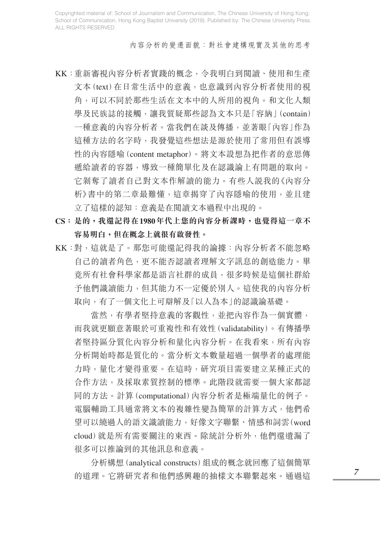內容分析的變遷面貌:對社會建構現實及其他的思考

- KK:重新審視內容分析者實踐的概念,令我明白到閱讀、使用和生產 文本(text)在日常生活中的意義,也意識到內容分析者使用的視 角,可以不同於那些生活在文本中的人所用的視角。和文化人類 學及民族誌的接觸,讓我質疑那些認為文本只是「容納」(contain) 一種意義的內容分析者。當我們在談及傳播,並著眼「內容」作為 這種方法的名字時,我發覺這些想法是源於使用了常用但有誤導 性的內容隱喻(content metaphor)。將文本設想為把作者的意思傳 遞給讀者的容器,導致一種簡單化及在認識論上有問題的取向。 它剝奪了讀者自己對文本作解讀的能力。有些人說我的《內容分 析》書中的第二章最難懂,這章揭穿了內容隱喻的使用,並且建 立了這樣的認知:意義是在閱讀文本過程中出現的。
- **CS:是的,我還記得在1980年代上您的內容分析課時,也覺得這一章不 容易明白,但在概念上就很有啟發性。**
- KK:對,這就是了。那您可能還記得我的論據:內容分析者不能忽略 自己的讀者角色,更不能否認讀者理解文字訊息的創造能力。畢 竟所有社會科學家都是語言社群的成員,很多時候是這個社群給 予他們識讀能力,但其能力不一定優於別人。這使我的內容分析 取向,有了一個文化上可辯解及「以人為本」的認識論基礎。

 當然,有學者堅持意義的客觀性,並把內容作為一個實體, 而我就更願意著眼於可重複性和有效性(validatability)。有傳播學 者堅持區分質化內容分析和量化內容分析。在我看來,所有內容 分析開始時都是質化的。當分析文本數量超過一個學者的處理能 力時,量化才變得重要。在這時,研究項目需要建立某種正式的 合作方法,及採取素質控制的標準。此階段就需要一個大家都認 同的方法。計算(computational)內容分析者是極端量化的例子。 電腦輔助工具通常將文本的複雜性變為簡單的計算方式,他們希 望可以繞過人的語文識讀能力,好像文字聯繫、情感和詞雲(word cloud)就是所有需要關注的東西。除統計分析外,他們還遺漏了 很多可以推論到的其他訊息和意義。

 分析構想(analytical constructs)組成的概念就回應了這個簡單 的道理。它將研究者和他們感興趣的抽樣文本聯繫起來。涌渦狺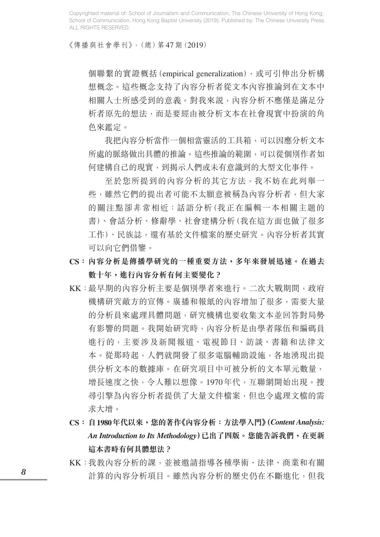《傳播與社會學刊》,(總)第47期(2019)

個聯繫的實證概括(empirical generalization),或可引伸出分析構 想概念。這些概念支持了內容分析者從文本內容推論到在文本中 相關人士所感受到的意義。對我來說,內容分析不應僅是滿足分 析者原先的想法,而是要經由被分析文本在社會現實中扮演的角 色來鑑定。

 我把內容分析當作一個相當靈活的工具箱,可以因應分析文本 所處的脈絡做出具體的推論。這些推論的範圍,可以從個別作者如 何建構自己的現實,到揭示人們或未有意識到的大型文化事件。

 至於您所提到的內容分析的其它方法,我不妨在此列舉一 些,雖然它們的提出者可能不太願意被稱為內容分析者,但大家 的關注點卻非常相近:話語分析(我正在編輯一本相關主題的 書)、會話分析、修辭學、社會建構分析(我在這方面也做了很多 工作)、民族誌,還有基於文件檔案的歷史研究。內容分析者其實 可以向它們借鑒。

- **CS:內容分析是傳播學研究的一種重要方法,多年來發展迅速。在過去 數十年,進行內容分析有何主要變化?**
- KK:最早期的內容分析主要是個別學者來進行。二次大戰期間,政府 機構研究敵方的宣傳。廣播和報紙的內容增加了很多,需要大量 的分析員來處理具體問題,研究機構也要收集文本並回答對局勢 有影響的問題。我開始研究時,內容分析是由學者隊伍和編碼員 進行的,主要涉及新聞報道、電視節目、訪談、書籍和法律文 本。從那時起,人們就開發了很多電腦輔助設施,各地湧現出提 供分析文本的數據庫。在研究項目中可被分析的文本單元數量, 增長速度之快,令人難以想像。1970年代,互聯網開始出現。搜 尋引擎為內容分析者提供了大量文件檔案,但也令處理文檔的需 求大增。
- **CS:自1980年代以來,您的著作《內容分析:方法學入門》(***Content Analysis: An Introduction to Its Methodology***)已出了四版。您能告訴我們,在更新 這本書時有何具體想法?**
- KK:我教內容分析的課,並被邀請指導各種學術、法律、商業和有關 計算的內容分析項目。雖然內容分析的歷史仍在不斷進化,但我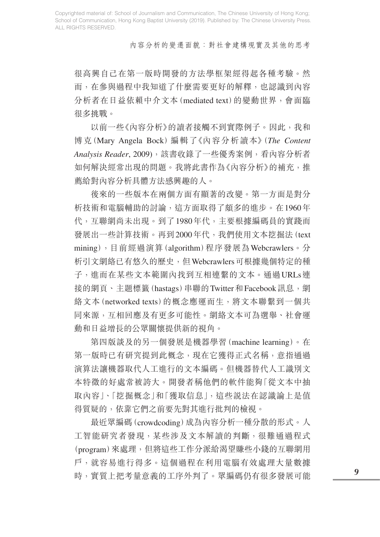內容分析的變遷面貌:對社會建構現實及其他的思考

很高興自己在第一版時開發的方法學框架經得起各種考驗。然 而,在參與過程中我知道了什麼需要更好的解釋,也認識到內容 分析者在日益依賴中介文本(mediated text)的變動世界,會面臨 很多挑戰。

 以前一些《內容分析》的讀者接觸不到實際例子。因此,我和 博克(Mary Angela Bock)編輯了《內容分析讀本》(*The Content Analysis Reader*, 2009),該書收錄了一些優秀案例,看內容分析者 如何解決經常出現的問題。我將此書作為《內容分析》的補充,推 薦給對內容分析具體方法感興趣的人。

 後來的一些版本在兩個方面有顯著的改變。第一方面是對分 析技術和電腦輔助的討論,這方面取得了頗多的進步。在1960年 代,互聯網尚未出現。到了1980年代,主要根據編碼員的實踐而 發展出一些計算技術。再到2000年代,我們使用文本挖掘法(text mining),目前經過演算(algorithm)程序發展為Webcrawlers。分 析引文網絡已有悠久的歷史,但Webcrawlers可根據幾個特定的種 子,進而在某些文本範圍內找到互相連繫的文本。通過URLs連 接的網頁、主題標籤(hastags)串聯的Twitter和Facebook訊息,網 絡文本(networked texts)的概念應運而生,將文本聯繫到一個共 同來源,互相回應及有更多可能性。網絡文本可為選舉、社會運 動和日益增長的公眾關懷提供新的視角。

 第四版談及的另一個發展是機器學習(machine learning)。在 第一版時已有研究提到此概念,現在它獲得正式名稱,意指通過 演算法讓機器取代人工進行的文本編碼。但機器替代人工識別文 本特徵的好處常被誇大。開發者稱他們的軟件能夠「從文本中抽 取內容」、「挖掘概念」和「獲取信息」,這些說法在認識論上是值 得質疑的,依靠它們之前要先對其進行批判的檢視。

 最近眾編碼(crowdcoding)成為內容分析一種分散的形式。人 工智能研究者發現,某些涉及文本解讀的判斷,很難通過程式 (program)來處理,但將這些工作分派給渴望賺些小錢的互聯網用 戶,就容易進行得多。這個過程在利用電腦有效處理大量數據 時,實質上把考量意義的工序外判了。眾編碼仍有很多發展可能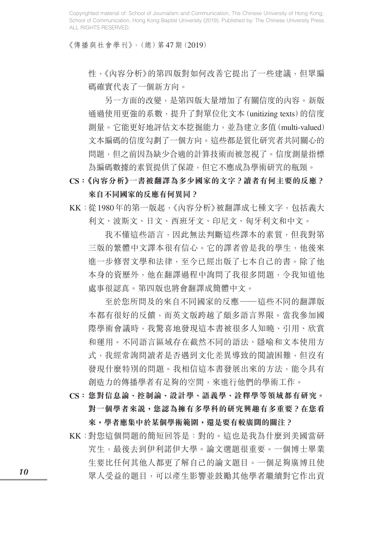《傳播與社會學刊》,(總)第47期(2019)

性,《內容分析》的第四版對如何改善它提出了一些建議,但眾編 碼確實代表了一個新方向。

 另一方面的改變,是第四版大量增加了有關信度的內容。新版 通過使用更強的系數,提升了對單位化文本(unitizing texts)的信度 測量。它能更好地評估文本挖掘能力,並為建立多值(multi-valued) 文本編碼的信度勾劃了一個方向。這些都是質化研究者共同關心的 問題,但之前因為缺少合適的計算技術而被忽視了。信度測量指標 為編碼數據的素質提供了保證,但它不應成為學術研究的瓶頸。

**CS:《內容分析》一書被翻譯為多少國家的文字?讀者有何主要的反應? 來自不同國家的反應有何異同?**

KK: 從1980年的第一版起,《內容分析》被翻譯成七種文字, 包括義大 利文、波斯文、日文、西班牙文、印尼文、匈牙利文和中文。

 我不懂這些語言,因此無法判斷這些譯本的素質,但我對第 三版的繁體中文譯本很有信心。它的譯者曾是我的學生,他後來 進一步修習文學和法律,至今已經出版了七本自己的書。除了他 本身的資歷外,他在翻譯過程中詢問了我很多問題,令我知道他 處事很認真。第四版也將會翻譯成簡體中文。

 至於您所問及的來自不同國家的反應——這些不同的翻譯版 本都有很好的反饋,而英文版跨越了頗多語言界限。當我參加國 際學術會議時,我驚喜地發現這本書被很多人知曉、引用、欣賞 和運用。不同語言區域存在截然不同的語法、隱喻和文本使用方 式,我經常詢問讀者是否遇到文化差異導致的閱讀困難,但沒有 發現什麼特別的問題。我相信這本書發展出來的方法,能令具有 創造力的傳播學者有足夠的空間,來進行他們的學術工作。

- **CS:您對信息論、控制論、設計學、語義學、詮釋學等領域都有研究。 對一個學者來說,您認為擁有多學科的研究興趣有多重要?在您看 來,學者應集中於某個學術範圍,還是要有較廣闊的關注?**
- KK:對您這個問題的簡短回答是:對的。這也是我為什麼到美國當研 究生,最後去到伊利諾伊大學。論文選題很重要。一個博士畢業 生要比任何其他人都更了解自己的論文題目。一個足夠廣博且使 眾人受益的題目,可以產生影響並鼓勵其他學者繼續對它作出貢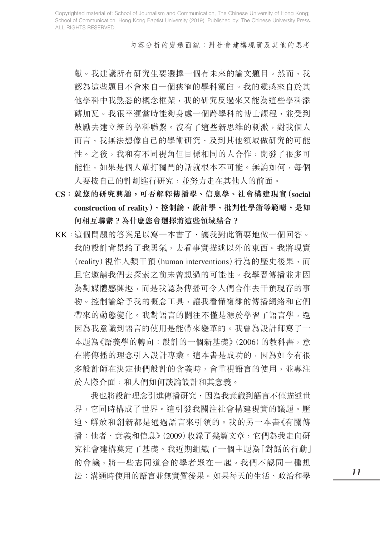內容分析的變遷面貌:對社會建構現實及其他的思考

獻。我建議所有研究生要選擇一個有未來的論文題目。然而,我 認為這些題目不會來自一個狹窄的學科窠臼。我的靈感來自於其 他學科中我熟悉的概念框架,我的研究反過來又能為這些學科添 磚加瓦。我很幸運當時能夠身處一個跨學科的博士課程,並受到 鼓勵去建立新的學科聯繫。沒有了這些新思維的刺激,對我個人 而言,我無法想像自己的學術研究,及到其他領域做研究的可能 性。之後,我和有不同視角但目標相同的人合作,開發了很多可 能性,如果是個人單打獨鬥的話就根本不可能。無論如何,每個 人要按自己的計劃進行研究,並努力走在其他人的前面。

- **CS:就您的研究興趣,可否解釋傳播學、信息學、社會構建現實(social construction of reality)、控制論、設計學、批判性學術等範疇,是如 何相互聯繫?為什麼您會選擇將這些領域結合?**
- KK:這個問題的答案足以寫一本書了,讓我對此簡要地做一個回答。 我的設計背景給了我勇氣,去看事實描述以外的東西。我將現實 (reality)視作人類干預(human interventions)行為的歷史後果,而 且它邀請我們去探索之前未曾想過的可能性。我學習傳播並非因 為對媒體感興趣,而是我認為傳播可令人們合作去干預現存的事 物。控制論給予我的概念工具,讓我看懂複雜的傳播網絡和它們 帶來的動態變化。我對語言的關注不僅是源於學習了語言學,還 因為我意識到語言的使用是能帶來變革的。我曾為設計師寫了一 本題為《語義學的轉向:設計的一個新基礎》(2006)的教科書,意 在將傳播的理念引入設計專業。這本書是成功的,因為如今有很 多設計師在決定他們設計的含義時,會重視語言的使用,並專注 於人際介面,和人們如何談論設計和其意義。

 我也將設計理念引進傳播研究,因為我意識到語言不僅描述世 界,它同時構成了世界。這引發我關注社會構建現實的議題。壓 迫、解放和創新都是通過語言來引領的。我的另一本書《有關傳 播:他者、意義和信息》(2009)收錄了幾篇文章,它們為我走向研 究社會建構奠定了基礎。我近期組織了一個主題為「對話的行動」 的會議,將一些志同道合的學者聚在一起。我們不認同一種想 法:溝通時使用的語言並無實質後果。如果每天的生活、政治和學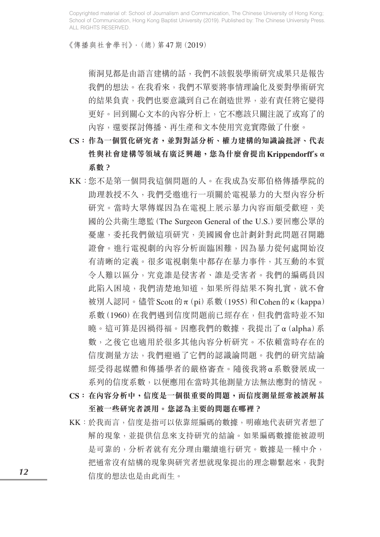《傳播與社會學刊》,(總)第47期(2019)

術洞見都是由語言建構的話,我們不該假裝學術研究成果只是報告 我們的想法。在我看來,我們不單要將事情理論化及要對學術研究 的結果負責,我們也要意識到自己在創造世界,並有責任將它變得 更好。回到關心文本的內容分析上,它不應該只關注說了或寫了的 內容,還要探討傳播、再生產和文本使用究竟實際做了什麼。

- **CS:作為一個質化研究者,並對對話分析、權力建構的知識論批評、代表 性與社會建構等領域有廣泛興趣,您為什麼會提出Krippendorff**'**s α 系數?**
- KK:您不是第一個問我這個問題的人。在我成為安那伯格傳播學院的 助理教授不久,我們受邀進行一項關於電視暴力的大型內容分析 研究。當時大眾傳媒因為在電視上展示暴力內容而頗受歡迎,美 國的公共衛生總監(The Surgeon General of the U.S.)要回應公眾的 憂慮,委托我們做這項研究,美國國會也計劃針對此問題召開聽 證會。進行電視劇的內容分析面臨困難,因為暴力從何處開始沒 有清晰的定義。很多電視劇集中都存在暴力事件,其互動的本質 令人難以區分,究竟誰是侵害者、誰是受害者。我們的編碼員因 此陷入困境,我們清楚地知道,如果所得結果不夠扎實,就不會 被別人認同。儘管Scott的π(pi)系數(1955)和Cohen的κ(kappa) 系數(1960)在我們遇到信度問題前已經存在,但我們當時並不知 曉。這可算是因禍得福。因應我們的數據,我提出了α(alpha)系 數,之後它也適用於很多其他內容分析研究。不依賴當時存在的 信度測量方法,我們避過了它們的認識論問題。我們的研究結論 經受得起媒體和傳播學者的嚴格審查。隨後我將α系數發展成一 系列的信度系數,以便應用在當時其他測量方法無法應對的情況。
- **CS:在內容分析中,信度是一個很重要的問題,而信度測量經常被誤解甚 至被一些研究者誤用。您認為主要的問題在哪裡?**
- KK:於我而言,信度是指可以依靠經編碼的數據,明確地代表研究者想了 解的現象,並提供信息來支持研究的結論。如果編碼數據能被證明 是可靠的,分析者就有充分理由繼續進行研究。數據是一種中介, 把通常沒有結構的現象與研究者想就現象提出的理念聯繫起來,我對 信度的想法也是由此而生。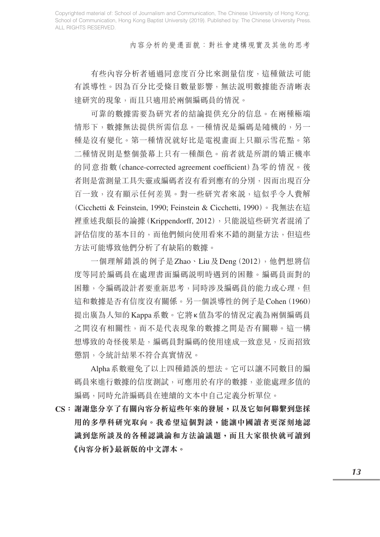內容分析的變遷面貌:對社會建構現實及其他的思考

 有些內容分析者通過同意度百分比來測量信度,這種做法可能 有誤導性。因為百分比受條目數量影響,無法說明數據能否清晰表 達研究的現象,而且只適用於兩個編碼員的情況。

 可靠的數據需要為研究者的結論提供充分的信息。在兩種極端 情形下,數據無法提供所需信息。一種情況是編碼是隨機的,另一 種是沒有變化。第一種情況就好比是電視畫面上只顯示雪花點。第 二種情況則是整個螢幕上只有一種顏色。前者就是所謂的矯正機率 的同意指數(chance-corrected agreement coefficient)為零的情況。後 者則是當測量工具失靈或編碼者沒有看到應有的分別,因而出現百分 百一致,沒有顯示任何差異。對一些研究者來説,這似乎令人費解 (Cicchetti & Feinstein, 1990; Feinstein & Cicchetti, 1990)。我無法在這 裡重述我頗長的論據(Krippendorff, 2012),只能説這些研究者混淆了 評估信度的基本目的,而他們傾向使用看來不錯的測量方法,但這些 方法可能導致他們分析了有缺陷的數據。

 一個理解錯誤的例子是Zhao、Liu及Deng(2012),他們想將信 度等同於編碼員在處理書面編碼說明時遇到的困難。編碼員面對的 困難,令編碼設計者要重新思考,同時涉及編碼員的能力或心理,但 這和數據是否有信度沒有關係。另一個誤導性的例子是Cohen(1960) 提出廣為人知的Kappa系數。它將κ值為零的情況定義為兩個編碼員 之間沒有相關性,而不是代表現象的數據之間是否有關聯。這一構 想導致的奇怪後果是,編碼員對編碼的使用達成一致意見,反而招致 懲罰,令統計結果不符合真實情況。

 Alpha系數避免了以上四種錯誤的想法。它可以讓不同數目的編 碼員來進行數據的信度測試,可應用於有序的數據,並能處理多值的 編碼,同時允許編碼員在連續的文本中自己定義分析單位。

**CS:謝謝您分享了有關內容分析這些年來的發展,以及它如何聯繫到您採 用的多學科研究取向。我希望這個對談,能讓中國讀者更深刻地認 識到您所談及的各種認識論和方法論議題,而且大家很快就可讀到 《內容分析》最新版的中文譯本。**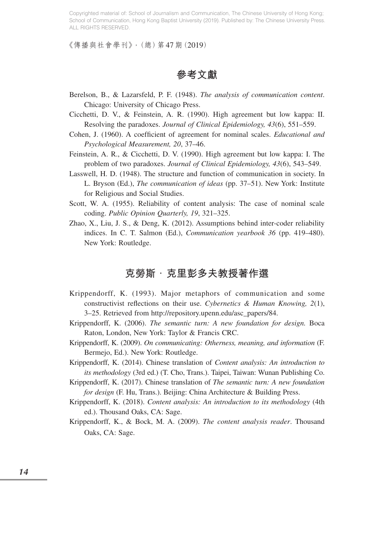《傳播與社會學刊》,(總)第47期(2019)

**參考文獻**

- Berelson, B., & Lazarsfeld, P. F. (1948). *The analysis of communication content*. Chicago: University of Chicago Press.
- Cicchetti, D. V., & Feinstein, A. R. (1990). High agreement but low kappa: II. Resolving the paradoxes. *Journal of Clinical Epidemiology, 43*(6), 551–559.
- Cohen, J. (1960). A coefficient of agreement for nominal scales. *Educational and Psychological Measurement, 20*, 37–46.
- Feinstein, A. R., & Cicchetti, D. V. (1990). High agreement but low kappa: I. The problem of two paradoxes. *Journal of Clinical Epidemiology, 43*(6), 543–549.
- Lasswell, H. D. (1948). The structure and function of communication in society. In L. Bryson (Ed.), *The communication of ideas* (pp. 37–51). New York: Institute for Religious and Social Studies.
- Scott, W. A. (1955). Reliability of content analysis: The case of nominal scale coding. *Public Opinion Quarterly, 19*, 321–325.
- Zhao, X., Liu, J. S., & Deng, K. (2012). Assumptions behind inter-coder reliability indices. In C. T. Salmon (Ed.), *Communication yearbook 36* (pp. 419–480). New York: Routledge.

# 克勞斯 · 克里彭多夫教授著作選

- Krippendorff, K. (1993). Major metaphors of communication and some constructivist reflections on their use. *Cybernetics & Human Knowing, 2*(1), 3–25. Retrieved from http://repository.upenn.edu/asc\_papers/84.
- Krippendorff, K. (2006). *The semantic turn: A new foundation for design.* Boca Raton, London, New York: Taylor & Francis CRC.
- Krippendorff, K. (2009). *On communicating: Otherness, meaning, and information* (F. Bermejo, Ed.). New York: Routledge.
- Krippendorff, K. (2014). Chinese translation of *Content analysis: An introduction to its methodology* (3rd ed.) (T. Cho, Trans.). Taipei, Taiwan: Wunan Publishing Co.
- Krippendorff, K. (2017). Chinese translation of *The semantic turn: A new foundation for design* (F. Hu, Trans.). Beijing: China Architecture & Building Press.
- Krippendorff, K. (2018). *Content analysis: An introduction to its methodology* (4th ed.). Thousand Oaks, CA: Sage.
- Krippendorff, K., & Bock, M. A. (2009). *The content analysis reader*. Thousand Oaks, CA: Sage.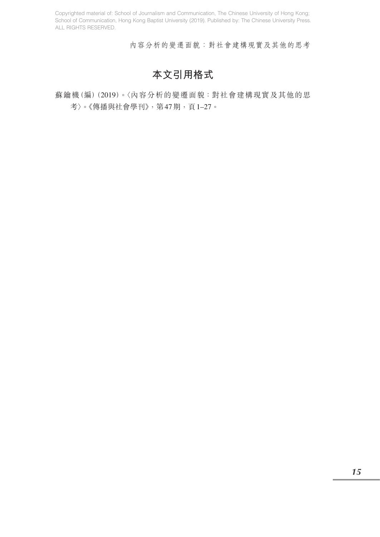內容分析的變遷面貌:對社會建構現實及其他的思考

# **本文引用格式**

蘇鑰機(編)(2019)。〈內容分析的變遷面貌:對社會建構現實及其他的思 考〉。《傳播與社會學刊》,第47期,頁1–27。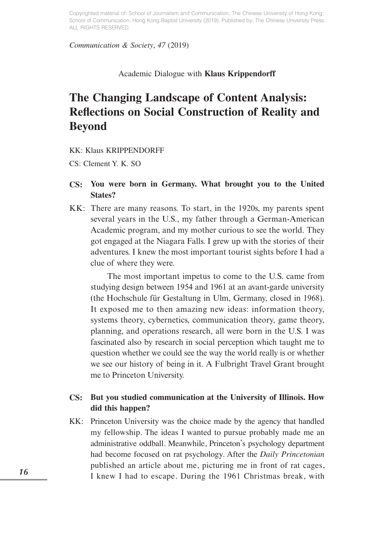### *Communication & Society*, *47* (2019)

### Academic Dialogue with **Klaus Krippendorff**

# **The Changing Landscape of Content Analysis: Reflections on Social Construction of Reality and Beyond**

KK: Klaus KRIPPENDORFF

CS: Clement Y. K. SO

- **CS: You were born in Germany. What brought you to the United States?**
- KK: There are many reasons. To start, in the 1920s, my parents spent several years in the U.S., my father through a German-American Academic program, and my mother curious to see the world. They got engaged at the Niagara Falls. I grew up with the stories of their adventures. I knew the most important tourist sights before I had a clue of where they were.

 The most important impetus to come to the U.S. came from studying design between 1954 and 1961 at an avant-garde university (the Hochschule für Gestaltung in Ulm, Germany, closed in 1968). It exposed me to then amazing new ideas: information theory, systems theory, cybernetics, communication theory, game theory, planning, and operations research, all were born in the U.S. I was fascinated also by research in social perception which taught me to question whether we could see the way the world really is or whether we see our history of being in it. A Fulbright Travel Grant brought me to Princeton University.

## **CS: But you studied communication at the University of Illinois. How did this happen?**

KK: Princeton University was the choice made by the agency that handled my fellowship. The ideas I wanted to pursue probably made me an administrative oddball. Meanwhile, Princeton's psychology department had become focused on rat psychology. After the *Daily Princetonian* published an article about me, picturing me in front of rat cages, I knew I had to escape. During the 1961 Christmas break, with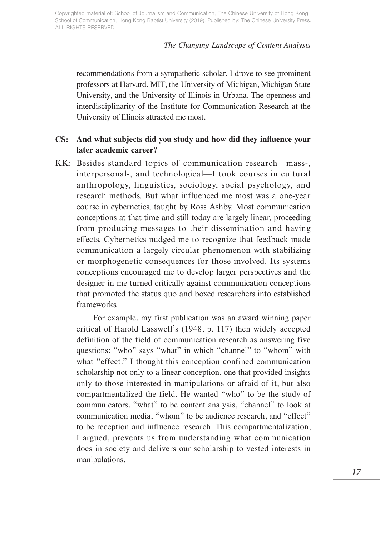### *The Changing Landscape of Content Analysis*

recommendations from a sympathetic scholar, I drove to see prominent professors at Harvard, MIT, the University of Michigan, Michigan State University, and the University of Illinois in Urbana. The openness and interdisciplinarity of the Institute for Communication Research at the University of Illinois attracted me most.

## **CS: And what subjects did you study and how did they influence your later academic career?**

KK: Besides standard topics of communication research—mass-, interpersonal-, and technological—I took courses in cultural anthropology, linguistics, sociology, social psychology, and research methods. But what influenced me most was a one-year course in cybernetics, taught by Ross Ashby. Most communication conceptions at that time and still today are largely linear, proceeding from producing messages to their dissemination and having effects. Cybernetics nudged me to recognize that feedback made communication a largely circular phenomenon with stabilizing or morphogenetic consequences for those involved. Its systems conceptions encouraged me to develop larger perspectives and the designer in me turned critically against communication conceptions that promoted the status quo and boxed researchers into established frameworks.

 For example, my first publication was an award winning paper critical of Harold Lasswell's (1948, p. 117) then widely accepted definition of the field of communication research as answering five questions: "who" says "what" in which "channel" to "whom" with what "effect." I thought this conception confined communication scholarship not only to a linear conception, one that provided insights only to those interested in manipulations or afraid of it, but also compartmentalized the field. He wanted "who" to be the study of communicators, "what" to be content analysis, "channel" to look at communication media, "whom" to be audience research, and "effect" to be reception and influence research. This compartmentalization, I argued, prevents us from understanding what communication does in society and delivers our scholarship to vested interests in manipulations.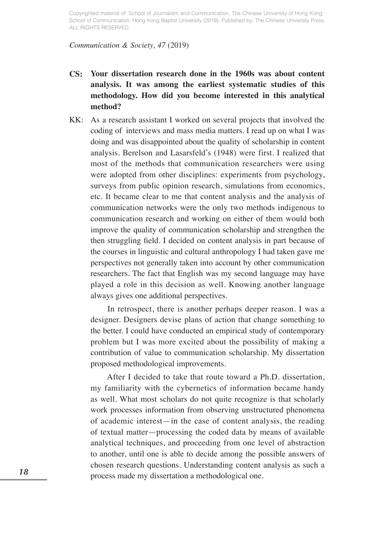### *Communication & Society*, *47* (2019)

- **CS: Your dissertation research done in the 1960s was about content analysis. It was among the earliest systematic studies of this methodology. How did you become interested in this analytical method?**
- KK: As a research assistant I worked on several projects that involved the coding of interviews and mass media matters. I read up on what I was doing and was disappointed about the quality of scholarship in content analysis. Berelson and Lasarsfeld's (1948) were first. I realized that most of the methods that communication researchers were using were adopted from other disciplines: experiments from psychology, surveys from public opinion research, simulations from economics, etc. It became clear to me that content analysis and the analysis of communication networks were the only two methods indigenous to communication research and working on either of them would both improve the quality of communication scholarship and strengthen the then struggling field. I decided on content analysis in part because of the courses in linguistic and cultural anthropology I had taken gave me perspectives not generally taken into account by other communication researchers. The fact that English was my second language may have played a role in this decision as well. Knowing another language always gives one additional perspectives.

 In retrospect, there is another perhaps deeper reason. I was a designer. Designers devise plans of action that change something to the better. I could have conducted an empirical study of contemporary problem but I was more excited about the possibility of making a contribution of value to communication scholarship. My dissertation proposed methodological improvements.

 After I decided to take that route toward a Ph.D. dissertation, my familiarity with the cybernetics of information became handy as well. What most scholars do not quite recognize is that scholarly work processes information from observing unstructured phenomena of academic interest—in the case of content analysis, the reading of textual matter—processing the coded data by means of available analytical techniques, and proceeding from one level of abstraction to another, until one is able to decide among the possible answers of chosen research questions. Understanding content analysis as such a process made my dissertation a methodological one.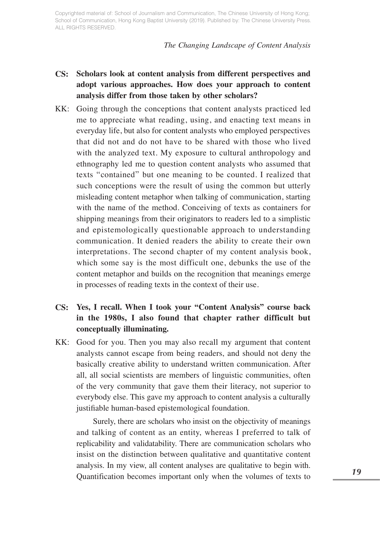*The Changing Landscape of Content Analysis*

- **CS: Scholars look at content analysis from different perspectives and adopt various approaches. How does your approach to content analysis differ from those taken by other scholars?**
- KK: Going through the conceptions that content analysts practiced led me to appreciate what reading, using, and enacting text means in everyday life, but also for content analysts who employed perspectives that did not and do not have to be shared with those who lived with the analyzed text. My exposure to cultural anthropology and ethnography led me to question content analysts who assumed that texts "contained" but one meaning to be counted. I realized that such conceptions were the result of using the common but utterly misleading content metaphor when talking of communication, starting with the name of the method. Conceiving of texts as containers for shipping meanings from their originators to readers led to a simplistic and epistemologically questionable approach to understanding communication. It denied readers the ability to create their own interpretations. The second chapter of my content analysis book, which some say is the most difficult one, debunks the use of the content metaphor and builds on the recognition that meanings emerge in processes of reading texts in the context of their use.

# **CS: Yes, I recall. When I took your "Content Analysis" course back in the 1980s, I also found that chapter rather difficult but conceptually illuminating.**

KK: Good for you. Then you may also recall my argument that content analysts cannot escape from being readers, and should not deny the basically creative ability to understand written communication. After all, all social scientists are members of linguistic communities, often of the very community that gave them their literacy, not superior to everybody else. This gave my approach to content analysis a culturally justifiable human-based epistemological foundation.

 Surely, there are scholars who insist on the objectivity of meanings and talking of content as an entity, whereas I preferred to talk of replicability and validatability. There are communication scholars who insist on the distinction between qualitative and quantitative content analysis. In my view, all content analyses are qualitative to begin with. Quantification becomes important only when the volumes of texts to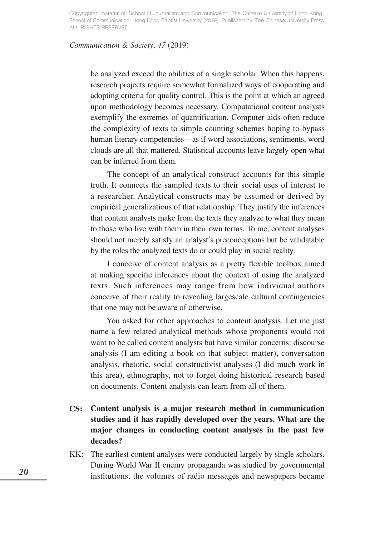### *Communication & Society*, *47* (2019)

be analyzed exceed the abilities of a single scholar. When this happens, research projects require somewhat formalized ways of cooperating and adopting criteria for quality control. This is the point at which an agreed upon methodology becomes necessary. Computational content analysts exemplify the extremes of quantification. Computer aids often reduce the complexity of texts to simple counting schemes hoping to bypass human literary competencies—as if word associations, sentiments, word clouds are all that mattered. Statistical accounts leave largely open what can be inferred from them.

 The concept of an analytical construct accounts for this simple truth. It connects the sampled texts to their social uses of interest to a researcher. Analytical constructs may be assumed or derived by empirical generalizations of that relationship. They justify the inferences that content analysts make from the texts they analyze to what they mean to those who live with them in their own terms. To me, content analyses should not merely satisfy an analyst's preconceptions but be validatable by the roles the analyzed texts do or could play in social reality.

 I conceive of content analysis as a pretty flexible toolbox aimed at making specific inferences about the context of using the analyzed texts. Such inferences may range from how individual authors conceive of their reality to revealing largescale cultural contingencies that one may not be aware of otherwise.

 You asked for other approaches to content analysis. Let me just name a few related analytical methods whose proponents would not want to be called content analysts but have similar concerns: discourse analysis (I am editing a book on that subject matter), conversation analysis, rhetoric, social constructivist analyses (I did much work in this area), ethnography, not to forget doing historical research based on documents. Content analysts can learn from all of them.

- **CS: Content analysis is a major research method in communication studies and it has rapidly developed over the years. What are the major changes in conducting content analyses in the past few decades?**
- KK: The earliest content analyses were conducted largely by single scholars. During World War II enemy propaganda was studied by governmental institutions, the volumes of radio messages and newspapers became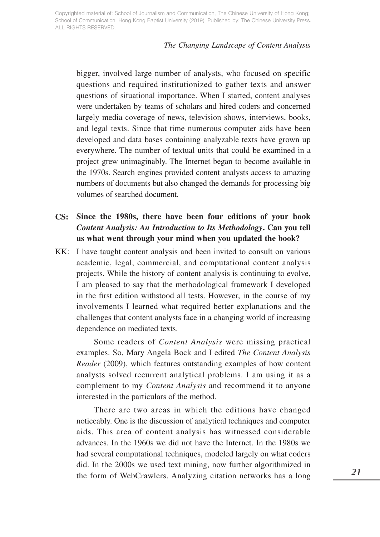### *The Changing Landscape of Content Analysis*

bigger, involved large number of analysts, who focused on specific questions and required institutionized to gather texts and answer questions of situational importance. When I started, content analyses were undertaken by teams of scholars and hired coders and concerned largely media coverage of news, television shows, interviews, books, and legal texts. Since that time numerous computer aids have been developed and data bases containing analyzable texts have grown up everywhere. The number of textual units that could be examined in a project grew unimaginably. The Internet began to become available in the 1970s. Search engines provided content analysts access to amazing numbers of documents but also changed the demands for processing big volumes of searched document.

# **CS: Since the 1980s, there have been four editions of your book**  *Content Analysis: An Introduction to Its Methodology***. Can you tell us what went through your mind when you updated the book?**

KK: I have taught content analysis and been invited to consult on various academic, legal, commercial, and computational content analysis projects. While the history of content analysis is continuing to evolve, I am pleased to say that the methodological framework I developed in the first edition withstood all tests. However, in the course of my involvements I learned what required better explanations and the challenges that content analysts face in a changing world of increasing dependence on mediated texts.

 Some readers of *Content Analysis* were missing practical examples. So, Mary Angela Bock and I edited *The Content Analysis Reader* (2009), which features outstanding examples of how content analysts solved recurrent analytical problems. I am using it as a complement to my *Content Analysis* and recommend it to anyone interested in the particulars of the method.

 There are two areas in which the editions have changed noticeably. One is the discussion of analytical techniques and computer aids. This area of content analysis has witnessed considerable advances. In the 1960s we did not have the Internet. In the 1980s we had several computational techniques, modeled largely on what coders did. In the 2000s we used text mining, now further algorithmized in the form of WebCrawlers. Analyzing citation networks has a long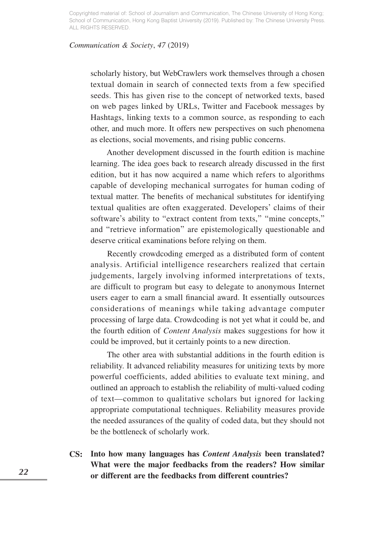### *Communication & Society*, *47* (2019)

scholarly history, but WebCrawlers work themselves through a chosen textual domain in search of connected texts from a few specified seeds. This has given rise to the concept of networked texts, based on web pages linked by URLs, Twitter and Facebook messages by Hashtags, linking texts to a common source, as responding to each other, and much more. It offers new perspectives on such phenomena as elections, social movements, and rising public concerns.

 Another development discussed in the fourth edition is machine learning. The idea goes back to research already discussed in the first edition, but it has now acquired a name which refers to algorithms capable of developing mechanical surrogates for human coding of textual matter. The benefits of mechanical substitutes for identifying textual qualities are often exaggerated. Developers' claims of their software's ability to "extract content from texts," "mine concepts," and "retrieve information" are epistemologically questionable and deserve critical examinations before relying on them.

 Recently crowdcoding emerged as a distributed form of content analysis. Artificial intelligence researchers realized that certain judgements, largely involving informed interpretations of texts, are difficult to program but easy to delegate to anonymous Internet users eager to earn a small financial award. It essentially outsources considerations of meanings while taking advantage computer processing of large data. Crowdcoding is not yet what it could be, and the fourth edition of *Content Analysis* makes suggestions for how it could be improved, but it certainly points to a new direction.

 The other area with substantial additions in the fourth edition is reliability. It advanced reliability measures for unitizing texts by more powerful coefficients, added abilities to evaluate text mining, and outlined an approach to establish the reliability of multi-valued coding of text—common to qualitative scholars but ignored for lacking appropriate computational techniques. Reliability measures provide the needed assurances of the quality of coded data, but they should not be the bottleneck of scholarly work.

**CS: Into how many languages has** *Content Analysis* **been translated? What were the major feedbacks from the readers? How similar or different are the feedbacks from different countries?**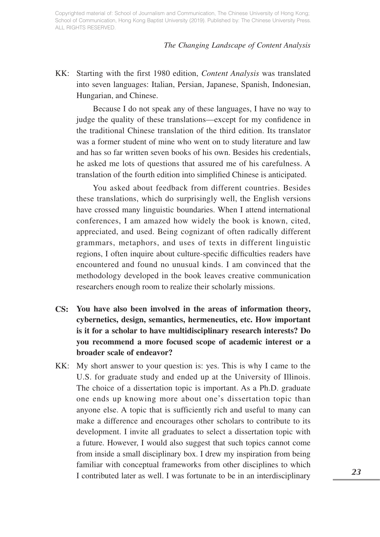### *The Changing Landscape of Content Analysis*

KK: Starting with the first 1980 edition, *Content Analysis* was translated into seven languages: Italian, Persian, Japanese, Spanish, Indonesian, Hungarian, and Chinese.

 Because I do not speak any of these languages, I have no way to judge the quality of these translations—except for my confidence in the traditional Chinese translation of the third edition. Its translator was a former student of mine who went on to study literature and law and has so far written seven books of his own. Besides his credentials, he asked me lots of questions that assured me of his carefulness. A translation of the fourth edition into simplified Chinese is anticipated.

 You asked about feedback from different countries. Besides these translations, which do surprisingly well, the English versions have crossed many linguistic boundaries. When I attend international conferences, I am amazed how widely the book is known, cited, appreciated, and used. Being cognizant of often radically different grammars, metaphors, and uses of texts in different linguistic regions, I often inquire about culture-specific difficulties readers have encountered and found no unusual kinds. I am convinced that the methodology developed in the book leaves creative communication researchers enough room to realize their scholarly missions.

- **CS: You have also been involved in the areas of information theory, cybernetics, design, semantics, hermeneutics, etc. How important is it for a scholar to have multidisciplinary research interests? Do you recommend a more focused scope of academic interest or a broader scale of endeavor?**
- KK: My short answer to your question is: yes. This is why I came to the U.S. for graduate study and ended up at the University of Illinois. The choice of a dissertation topic is important. As a Ph.D. graduate one ends up knowing more about one's dissertation topic than anyone else. A topic that is sufficiently rich and useful to many can make a difference and encourages other scholars to contribute to its development. I invite all graduates to select a dissertation topic with a future. However, I would also suggest that such topics cannot come from inside a small disciplinary box. I drew my inspiration from being familiar with conceptual frameworks from other disciplines to which I contributed later as well. I was fortunate to be in an interdisciplinary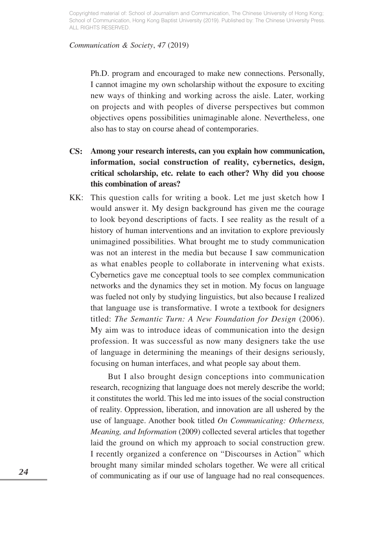### *Communication & Society*, *47* (2019)

Ph.D. program and encouraged to make new connections. Personally, I cannot imagine my own scholarship without the exposure to exciting new ways of thinking and working across the aisle. Later, working on projects and with peoples of diverse perspectives but common objectives opens possibilities unimaginable alone. Nevertheless, one also has to stay on course ahead of contemporaries.

- **CS: Among your research interests, can you explain how communication, information, social construction of reality, cybernetics, design, critical scholarship, etc. relate to each other? Why did you choose this combination of areas?**
- KK: This question calls for writing a book. Let me just sketch how I would answer it. My design background has given me the courage to look beyond descriptions of facts. I see reality as the result of a history of human interventions and an invitation to explore previously unimagined possibilities. What brought me to study communication was not an interest in the media but because I saw communication as what enables people to collaborate in intervening what exists. Cybernetics gave me conceptual tools to see complex communication networks and the dynamics they set in motion. My focus on language was fueled not only by studying linguistics, but also because I realized that language use is transformative. I wrote a textbook for designers titled: *The Semantic Turn: A New Foundation for Design* (2006). My aim was to introduce ideas of communication into the design profession. It was successful as now many designers take the use of language in determining the meanings of their designs seriously, focusing on human interfaces, and what people say about them.

 But I also brought design conceptions into communication research, recognizing that language does not merely describe the world; it constitutes the world. This led me into issues of the social construction of reality. Oppression, liberation, and innovation are all ushered by the use of language. Another book titled *On Communicating: Otherness, Meaning, and Information* (2009) collected several articles that together laid the ground on which my approach to social construction grew. I recently organized a conference on "Discourses in Action" which brought many similar minded scholars together. We were all critical of communicating as if our use of language had no real consequences.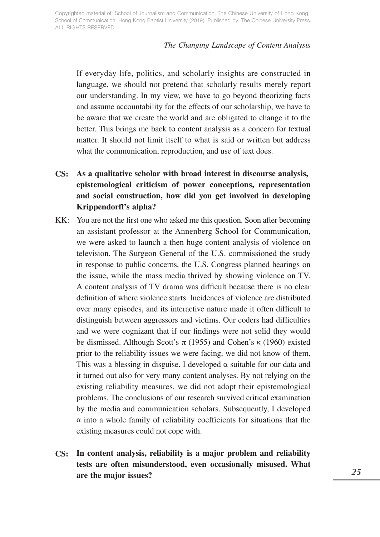### *The Changing Landscape of Content Analysis*

If everyday life, politics, and scholarly insights are constructed in language, we should not pretend that scholarly results merely report our understanding. In my view, we have to go beyond theorizing facts and assume accountability for the effects of our scholarship, we have to be aware that we create the world and are obligated to change it to the better. This brings me back to content analysis as a concern for textual matter. It should not limit itself to what is said or written but address what the communication, reproduction, and use of text does.

- **CS: As a qualitative scholar with broad interest in discourse analysis, epistemological criticism of power conceptions, representation and social construction, how did you get involved in developing Krippendorff's alpha?**
- KK: You are not the first one who asked me this question. Soon after becoming an assistant professor at the Annenberg School for Communication, we were asked to launch a then huge content analysis of violence on television. The Surgeon General of the U.S. commissioned the study in response to public concerns, the U.S. Congress planned hearings on the issue, while the mass media thrived by showing violence on TV. A content analysis of TV drama was difficult because there is no clear definition of where violence starts. Incidences of violence are distributed over many episodes, and its interactive nature made it often difficult to distinguish between aggressors and victims. Our coders had difficulties and we were cognizant that if our findings were not solid they would be dismissed. Although Scott's  $\pi$  (1955) and Cohen's κ (1960) existed prior to the reliability issues we were facing, we did not know of them. This was a blessing in disguise. I developed  $\alpha$  suitable for our data and it turned out also for very many content analyses. By not relying on the existing reliability measures, we did not adopt their epistemological problems. The conclusions of our research survived critical examination by the media and communication scholars. Subsequently, I developed  $\alpha$  into a whole family of reliability coefficients for situations that the existing measures could not cope with.
- **CS: In content analysis, reliability is a major problem and reliability tests are often misunderstood, even occasionally misused. What are the major issues?**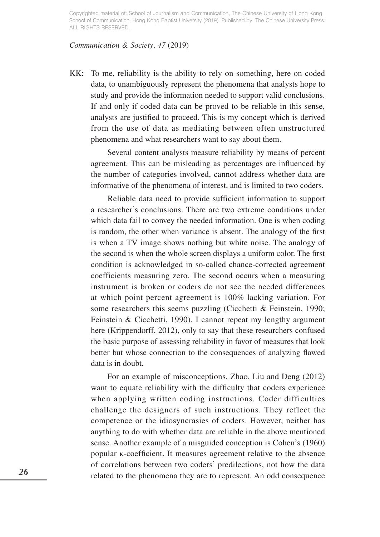### *Communication & Society*, *47* (2019)

KK: To me, reliability is the ability to rely on something, here on coded data, to unambiguously represent the phenomena that analysts hope to study and provide the information needed to support valid conclusions. If and only if coded data can be proved to be reliable in this sense, analysts are justified to proceed. This is my concept which is derived from the use of data as mediating between often unstructured phenomena and what researchers want to say about them.

 Several content analysts measure reliability by means of percent agreement. This can be misleading as percentages are influenced by the number of categories involved, cannot address whether data are informative of the phenomena of interest, and is limited to two coders.

 Reliable data need to provide sufficient information to support a researcher's conclusions. There are two extreme conditions under which data fail to convey the needed information. One is when coding is random, the other when variance is absent. The analogy of the first is when a TV image shows nothing but white noise. The analogy of the second is when the whole screen displays a uniform color. The first condition is acknowledged in so-called chance-corrected agreement coefficients measuring zero. The second occurs when a measuring instrument is broken or coders do not see the needed differences at which point percent agreement is 100% lacking variation. For some researchers this seems puzzling (Cicchetti & Feinstein, 1990; Feinstein & Cicchetti, 1990). I cannot repeat my lengthy argument here (Krippendorff, 2012), only to say that these researchers confused the basic purpose of assessing reliability in favor of measures that look better but whose connection to the consequences of analyzing flawed data is in doubt.

 For an example of misconceptions, Zhao, Liu and Deng (2012) want to equate reliability with the difficulty that coders experience when applying written coding instructions. Coder difficulties challenge the designers of such instructions. They reflect the competence or the idiosyncrasies of coders. However, neither has anything to do with whether data are reliable in the above mentioned sense. Another example of a misguided conception is Cohen's (1960) popular κ-coefficient. It measures agreement relative to the absence of correlations between two coders' predilections, not how the data related to the phenomena they are to represent. An odd consequence